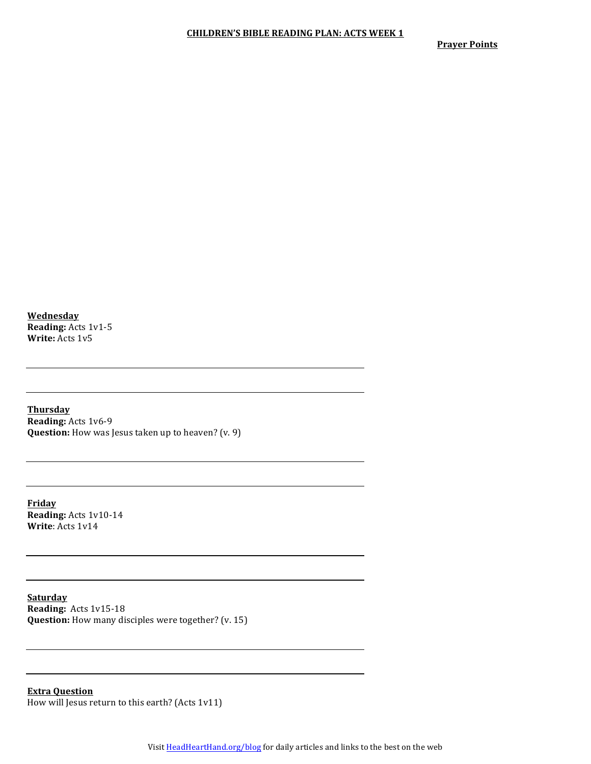**Prayer Points** 

**Wednesday Reading:** Acts 1v1-5 **Write:** Acts 1v5

**Thursday Reading:** Acts 1v6-9 **Question:** How was Jesus taken up to heaven? (v. 9)

**Friday Reading:** Acts 1v10-14 **Write**: Acts 1v14

**Saturday Reading:** Acts 1v15-18 **Question:** How many disciples were together? (v. 15)

**Extra Question** How will Jesus return to this earth? (Acts  $1v11$ )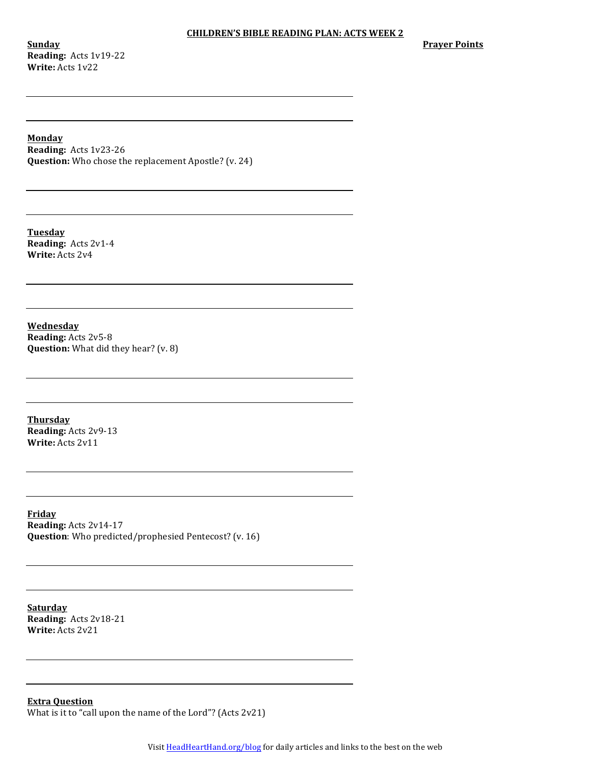**Sunday Reading:** Acts 1v19-22 **Write:** Acts 1v22

**Prayer Points** 

**Monday**

**Reading:** Acts 1v23-26 **Question:** Who chose the replacement Apostle? (v. 24)

**Tuesday Reading:** Acts 2v1-4 **Write:** Acts 2v4

**Wednesday Reading:** Acts 2v5-8 **Question:** What did they hear? (v. 8)

**Thursday Reading:** Acts 2v9-13 **Write:** Acts 2v11

**Friday Reading:** Acts 2v14-17 **Question**: Who predicted/prophesied Pentecost? (v. 16)

**Saturday Reading:** Acts 2v18-21 **Write:** Acts 2v21

**Extra Question** What is it to "call upon the name of the Lord"? (Acts  $2v21$ )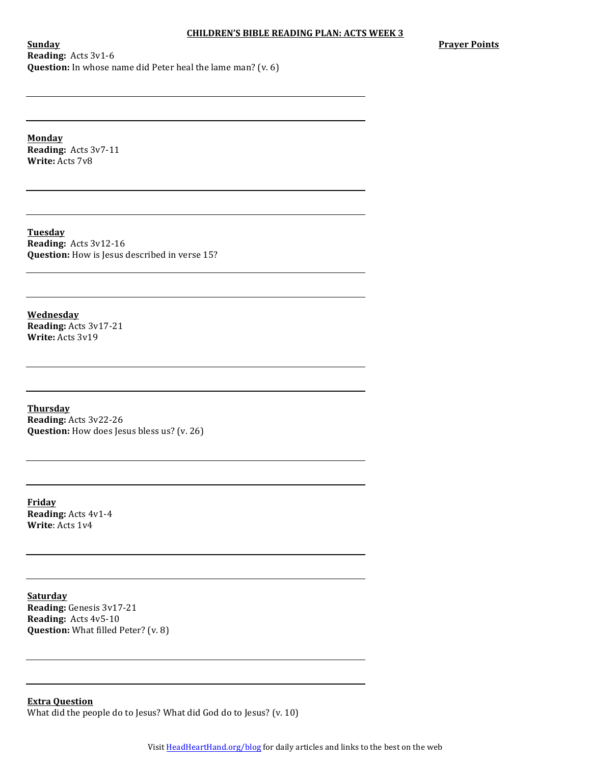**Prayer Points** 

**Sunday Reading:** Acts 3v1-6 **Question:** In whose name did Peter heal the lame man? (v. 6)

**Monday**

**Reading:** Acts 3v7-11 **Write:** Acts 7v8

**Tuesday Reading:** Acts 3v12-16 **Question:** How is Jesus described in verse 15?

**Wednesday Reading:** Acts 3v17-21 **Write:** Acts 3v19

**Thursday Reading:** Acts 3v22-26 **Question:** How does Jesus bless us? (v. 26)

**Friday Reading:** Acts 4v1-4 **Write**: Acts 1v4

**Saturday Reading:** Genesis 3v17-21 **Reading:** Acts 4v5-10 **Question:** What filled Peter? (v. 8)

**Extra Question** What did the people do to Jesus? What did God do to Jesus?  $(v. 10)$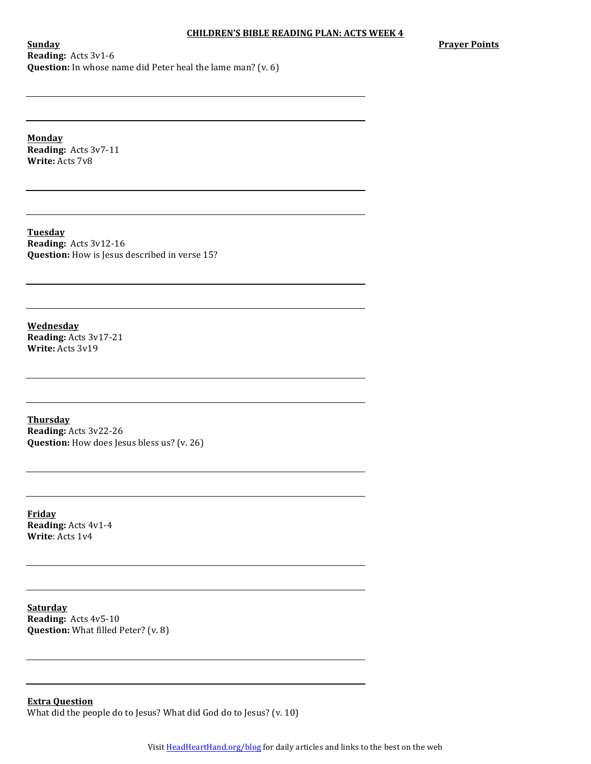**Prayer Points** 

**Sunday Reading:** Acts 3v1-6 **Question:** In whose name did Peter heal the lame man? (v. 6)

**Monday**

**Reading:** Acts 3v7-11 **Write:** Acts 7v8

**Tuesday Reading:** Acts 3v12-16 **Question:** How is Jesus described in verse 15?

**Wednesday Reading:** Acts 3v17-21 **Write:** Acts 3v19

**Thursday Reading:** Acts 3v22-26 **Question:** How does Jesus bless us? (v. 26)

**Friday Reading:** Acts 4v1-4 **Write**: Acts 1v4

**Saturday Reading:** Acts 4v5-10 **Question:** What filled Peter? (v. 8)

**Extra Question** What did the people do to Jesus? What did God do to Jesus?  $(v. 10)$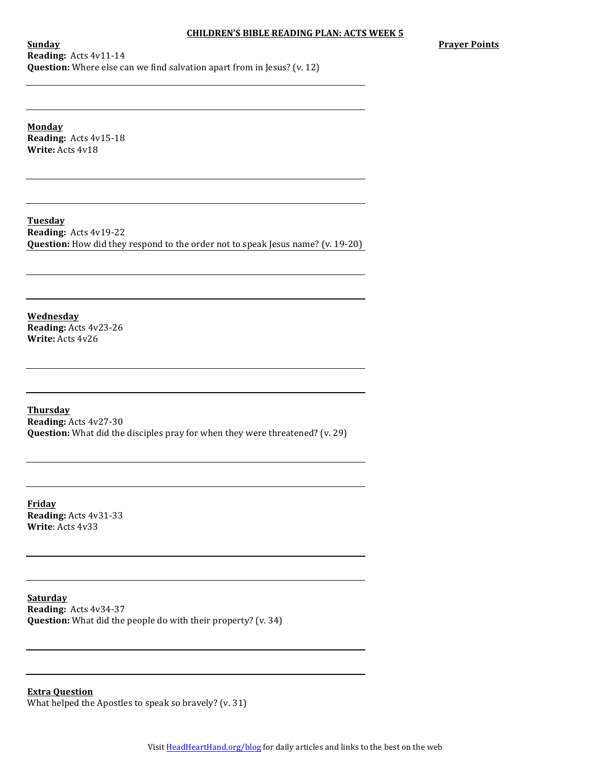#### **CHILDREN'S BIBLE READING PLAN: ACTS WEEK 5**

**Prayer Points** 

**Sunday Reading:** Acts 4v11-14 **Question:** Where else can we find salvation apart from in Jesus? (v. 12)

**Monday Reading:** Acts 4v15-18 **Write:** Acts 4v18

**Tuesday Reading:** Acts 4v19-22 **Question:** How did they respond to the order not to speak Jesus name? (v. 19-20)

**Wednesday Reading:** Acts 4v23-26 **Write:** Acts 4v26

**Thursday Reading:** Acts 4v27-30 **Question:** What did the disciples pray for when they were threatened? (v. 29)

**Friday Reading:** Acts 4v31-33 **Write**: Acts 4v33

**Saturday Reading:** Acts 4v34-37 **Question:** What did the people do with their property? (v. 34)

**Extra Question** What helped the Apostles to speak so bravely? (v. 31)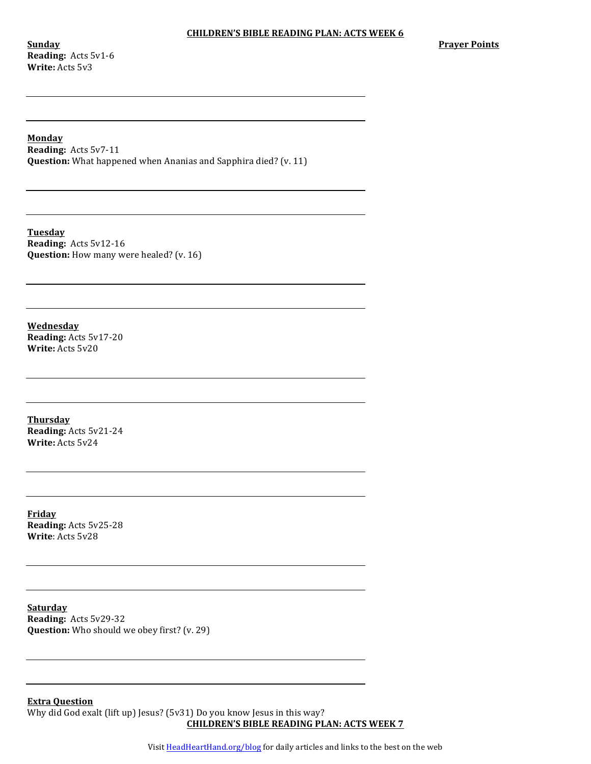**Sunday Reading:** Acts 5v1-6 **Write:** Acts 5v3

## **Monday**

**Reading:** Acts 5v7-11 **Question:** What happened when Ananias and Sapphira died? (v. 11)

**Tuesday Reading:** Acts 5v12-16 **Question:** How many were healed? (v. 16)

**Wednesday Reading:** Acts 5v17-20 **Write:** Acts 5v20

**Thursday Reading:** Acts 5v21-24 **Write:** Acts 5v24

**Friday Reading:** Acts 5v25-28 **Write**: Acts 5v28

**Saturday Reading:** Acts 5v29-32 **Question:** Who should we obey first? (v. 29)

**Extra Question** Why did God exalt (lift up) Jesus? ( $5v31$ ) Do you know Jesus in this way? **CHILDREN'S BIBLE READING PLAN: ACTS WEEK 7** 

Visit **HeadHeartHand.org/blog** for daily articles and links to the best on the web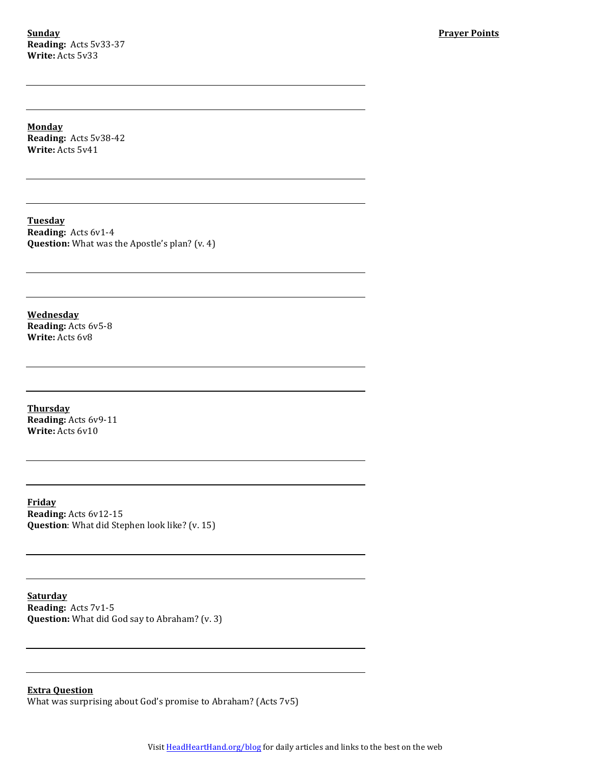**Sunday Reading:** Acts 5v33-37 **Write:** Acts 5v33

**Monday Reading:** Acts 5v38-42 **Write:** Acts 5v41

**Tuesday Reading:** Acts 6v1-4 **Question:** What was the Apostle's plan? (v. 4)

**Wednesday Reading:** Acts 6v5-8 **Write:** Acts 6v8

**Thursday Reading:** Acts 6v9-11 **Write:** Acts 6v10

**Friday Reading:** Acts 6v12-15 **Question**: What did Stephen look like? (v. 15)

**Saturday Reading:** Acts 7v1-5 **Question:** What did God say to Abraham? (v. 3)

**Extra Question** What was surprising about God's promise to Abraham? (Acts  $7v5$ )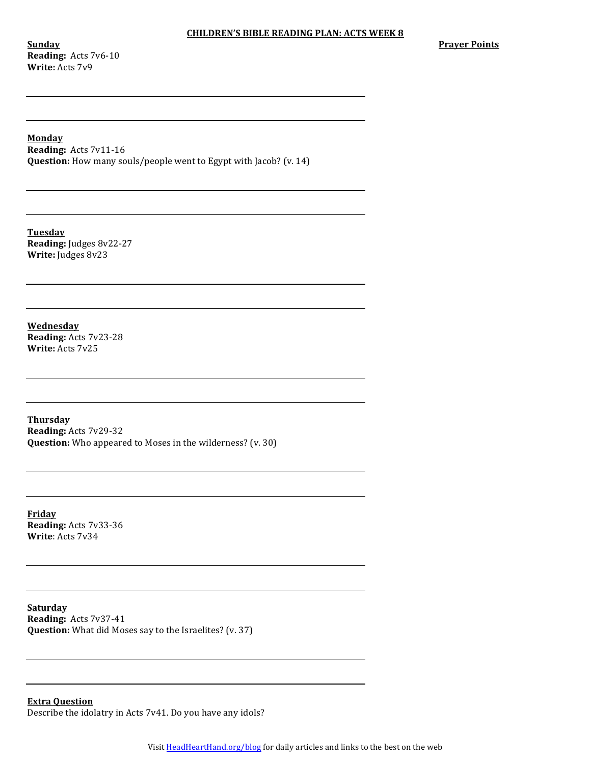**Sunday Reading:** Acts 7v6-10 **Write:** Acts 7v9

## **Monday**

**Reading:** Acts 7v11-16 **Question:** How many souls/people went to Egypt with Jacob? (v. 14)

**Tuesday Reading:** Judges 8v22-27 **Write:** Judges 8v23

**Wednesday Reading:** Acts 7v23-28 **Write:** Acts 7v25

**Thursday Reading:** Acts 7v29-32 **Question:** Who appeared to Moses in the wilderness? (v. 30)

**Friday Reading:** Acts 7v33-36 **Write**: Acts 7v34

**Saturday Reading:** Acts 7v37-41 **Question:** What did Moses say to the Israelites? (v. 37)

**Extra Question** Describe the idolatry in Acts 7v41. Do you have any idols?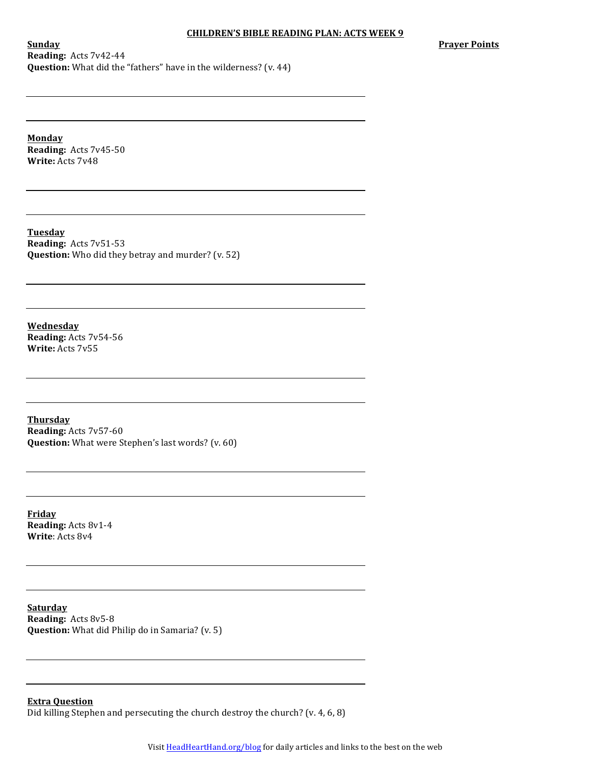**Prayer Points** 

**Sunday Reading:** Acts 7v42-44 **Question:** What did the "fathers" have in the wilderness? (v. 44)

**Monday**

**Reading:** Acts 7v45-50 **Write:** Acts 7v48

**Tuesday Reading:** Acts 7v51-53 **Question:** Who did they betray and murder? (v. 52)

**Wednesday Reading:** Acts 7v54-56 **Write:** Acts 7v55

**Thursday Reading:** Acts 7v57-60 **Question:** What were Stephen's last words? (v. 60)

**Friday Reading:** Acts 8v1-4 **Write**: Acts 8v4

**Saturday Reading:** Acts 8v5-8 **Question:** What did Philip do in Samaria? (v. 5)

**Extra Question** Did killing Stephen and persecuting the church destroy the church? (v. 4, 6, 8)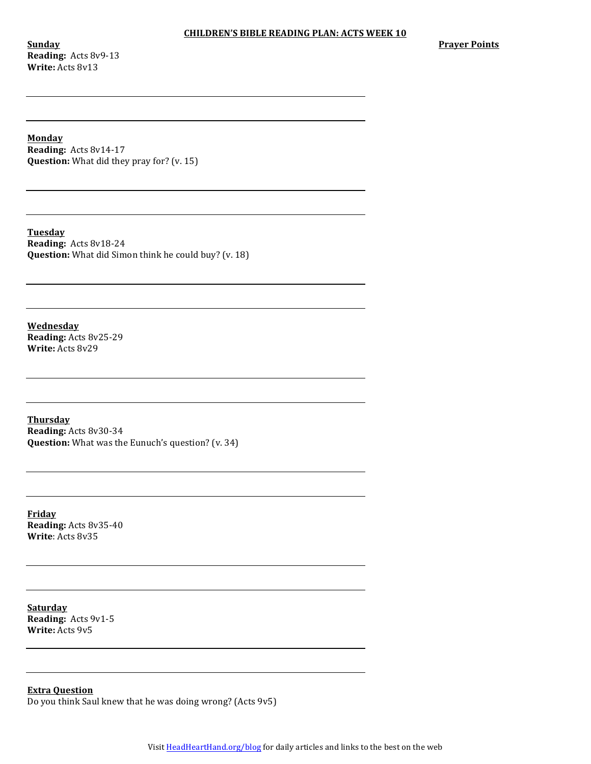**Sunday Reading:** Acts 8v9-13 **Write:** Acts 8v13

**Prayer Points** 

**Monday**

**Reading:** Acts 8v14-17 **Question:** What did they pray for? (v. 15)

**Tuesday Reading:** Acts 8v18-24 **Question:** What did Simon think he could buy? (v. 18)

**Wednesday Reading:** Acts 8v25-29 **Write:** Acts 8v29

**Thursday Reading:** Acts 8v30-34 **Question:** What was the Eunuch's question? (v. 34)

**Friday Reading:** Acts 8v35-40 **Write**: Acts 8v35

**Saturday Reading:** Acts 9v1-5 **Write:** Acts  $9v5$ 

**Extra Question**

Do you think Saul knew that he was doing wrong? (Acts 9v5)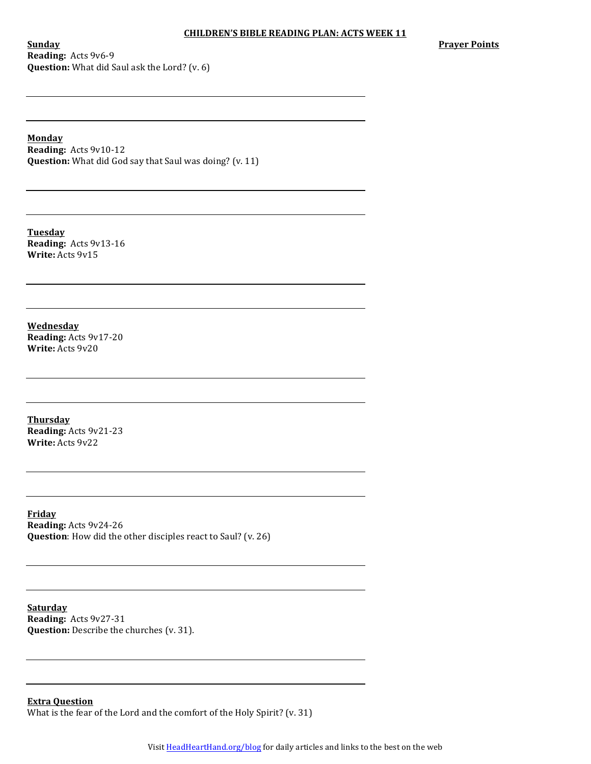**Sunday Reading:** Acts 9v6-9 **Question:** What did Saul ask the Lord? (v. 6) **Prayer Points** 

**Monday**

**Reading:** Acts 9v10-12 **Question:** What did God say that Saul was doing? (v. 11)

**Tuesday Reading:** Acts 9v13-16 **Write:** Acts 9v15

**Wednesday Reading:** Acts 9v17-20 **Write:** Acts 9v20

**Thursday Reading:** Acts 9v21-23 **Write:** Acts 9v22

**Friday Reading:** Acts 9v24-26 **Question**: How did the other disciples react to Saul? (v. 26)

**Saturday Reading:** Acts 9v27-31 **Question:** Describe the churches (v. 31).

**Extra Question** What is the fear of the Lord and the comfort of the Holy Spirit?  $(v. 31)$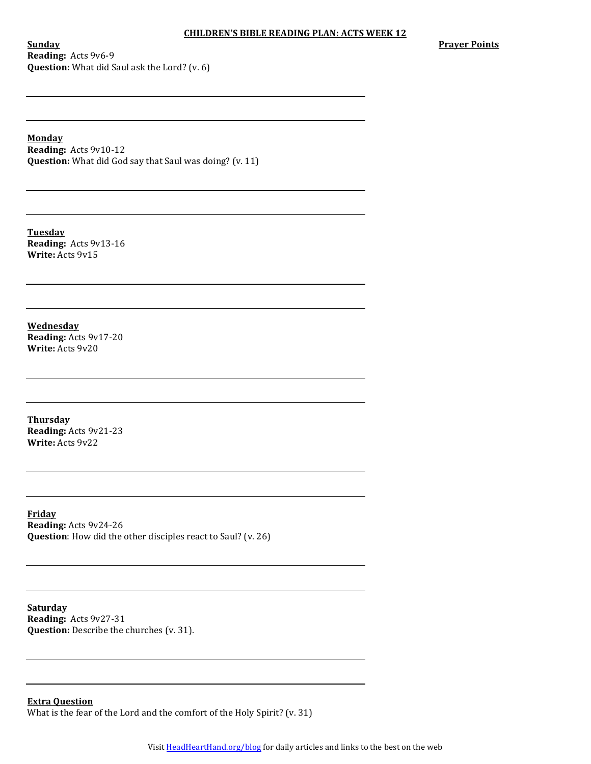**Sunday Reading:** Acts 9v6-9 **Question:** What did Saul ask the Lord? (v. 6) **Prayer Points** 

**Monday**

**Reading:** Acts 9v10-12 **Question:** What did God say that Saul was doing? (v. 11)

**Tuesday Reading:** Acts 9v13-16 **Write:** Acts 9v15

**Wednesday Reading:** Acts 9v17-20 **Write:** Acts 9v20

**Thursday Reading:** Acts 9v21-23 **Write:** Acts 9v22

**Friday Reading:** Acts 9v24-26 **Question**: How did the other disciples react to Saul? (v. 26)

**Saturday Reading:** Acts 9v27-31 **Question:** Describe the churches (v. 31).

**Extra Question** What is the fear of the Lord and the comfort of the Holy Spirit?  $(v. 31)$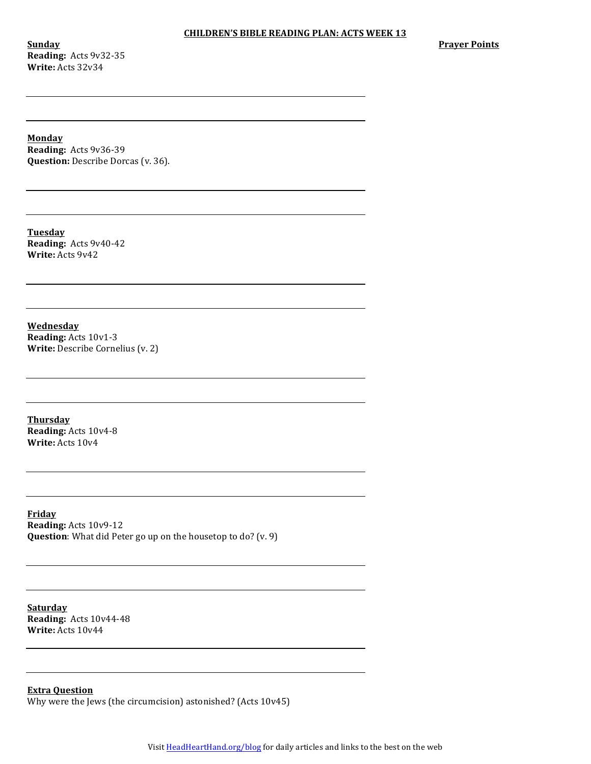**Sunday Reading:** Acts 9v32-35 **Write:** Acts 32v34

**Prayer Points** 

**Monday**

**Reading:** Acts 9v36-39 **Question:** Describe Dorcas (v. 36).

**Tuesday Reading:** Acts 9v40-42 **Write:** Acts 9v42

**Wednesday Reading:** Acts 10v1-3 **Write:** Describe Cornelius (v. 2)

**Thursday Reading:** Acts 10v4-8 **Write:** Acts 10v4

**Friday Reading:** Acts 10v9-12 **Question**: What did Peter go up on the housetop to do? (v. 9)

**Saturday Reading:** Acts 10v44-48 **Write:** Acts 10v44

**Extra Question**

Why were the Jews (the circumcision) astonished? (Acts 10v45)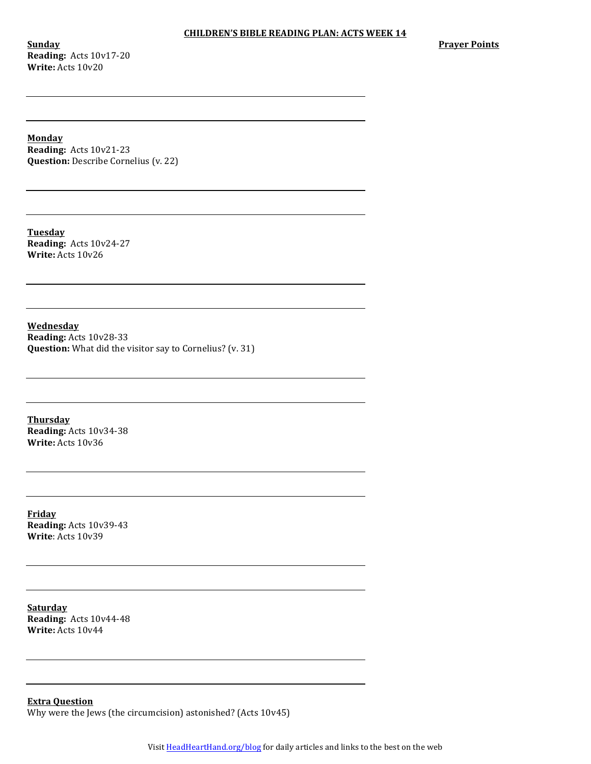**Sunday Reading:** Acts  $10v17-20$ **Write:** Acts 10v20

**Prayer Points** 

**Monday**

**Reading:** Acts 10v21-23 **Question:** Describe Cornelius (v. 22)

**Tuesday Reading:** Acts  $10v24-27$ **Write:** Acts 10v26

**Wednesday Reading:** Acts 10v28-33 **Question:** What did the visitor say to Cornelius? (v. 31)

**Thursday Reading:** Acts 10v34-38 **Write:** Acts 10v36

**Friday Reading:** Acts 10v39-43 **Write**: Acts 10v39

**Saturday Reading:** Acts 10v44-48 **Write:** Acts 10v44

**Extra Question** Why were the Jews (the circumcision) astonished? (Acts  $10v45$ )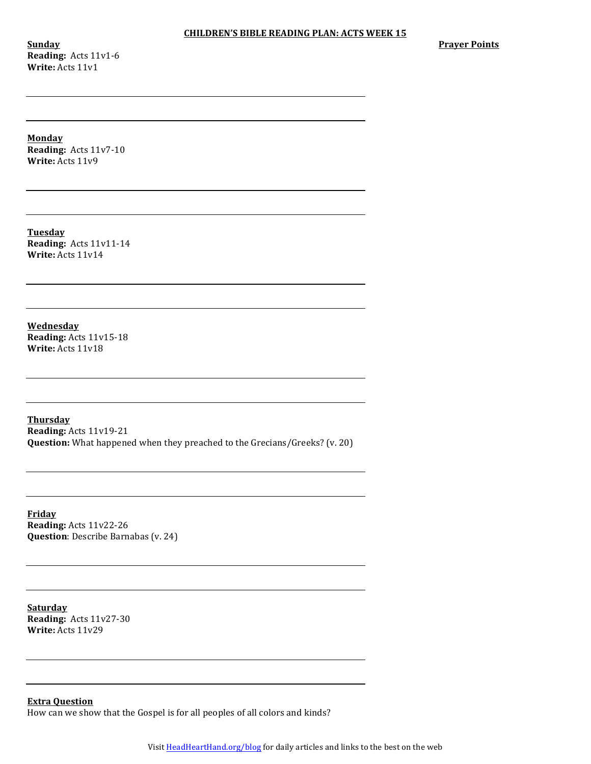**Sunday Reading:** Acts 11v1-6 **Write:** Acts 11v1

**Prayer Points** 

**Monday**

**Reading:** Acts 11v7-10 **Write:** Acts 11v9

**Tuesday Reading:** Acts 11v11-14 **Write:** Acts 11v14

**Wednesday Reading:** Acts 11v15-18 **Write:** Acts 11v18

**Thursday Reading:** Acts 11v19-21 **Question:** What happened when they preached to the Grecians/Greeks? (v. 20)

**Friday Reading:** Acts 11v22-26 **Question**: Describe Barnabas (v. 24)

**Saturday Reading:** Acts 11v27-30 **Write:** Acts 11v29

**Extra Question**

How can we show that the Gospel is for all peoples of all colors and kinds?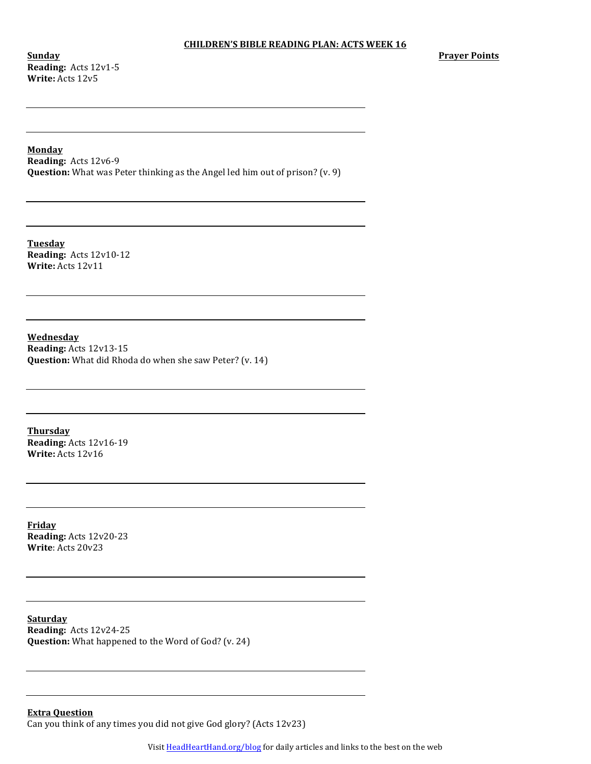**Sunday Reading:** Acts 12v1-5 **Write:** Acts 12v5

### **Monday**

**Reading:** Acts 12v6-9 **Question:** What was Peter thinking as the Angel led him out of prison? (v. 9)

**Tuesday Reading:** Acts 12v10-12 **Write:** Acts 12v11

**Wednesday Reading:** Acts 12v13-15 **Question:** What did Rhoda do when she saw Peter? (v. 14)

**Thursday Reading:** Acts 12v16-19 **Write:** Acts 12v16

**Friday Reading:** Acts 12v20-23 **Write**: Acts 20v23

**Saturday Reading:** Acts 12v24-25 **Question:** What happened to the Word of God? (v. 24)

**Extra Question** Can you think of any times you did not give God glory? (Acts 12v23)

Visit **HeadHeartHand.org/blog** for daily articles and links to the best on the web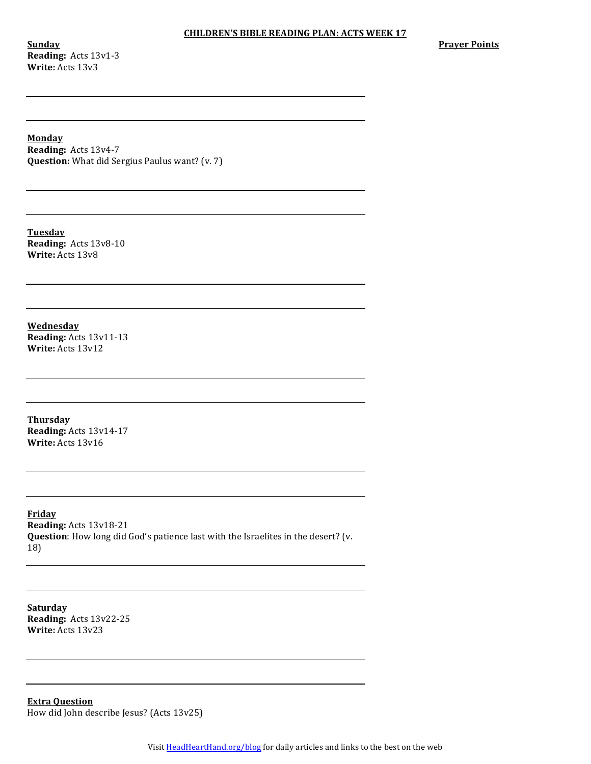**Sunday Reading:** Acts 13v1-3 **Write:** Acts 13v3

**Prayer Points** 

**Monday**

**Reading:** Acts 13v4-7 **Question:** What did Sergius Paulus want? (v. 7)

**Tuesday Reading:** Acts 13v8-10 **Write:** Acts 13v8

**Wednesday Reading:** Acts 13v11-13 **Write:** Acts 13v12

**Thursday Reading:** Acts 13v14-17 **Write:** Acts 13v16

**Friday Reading:** Acts 13v18-21 **Question**: How long did God's patience last with the Israelites in the desert? (v. 18) 

**Saturday Reading:** Acts 13v22-25 **Write:** Acts 13v23

**Extra Question** How did John describe Jesus? (Acts 13v25)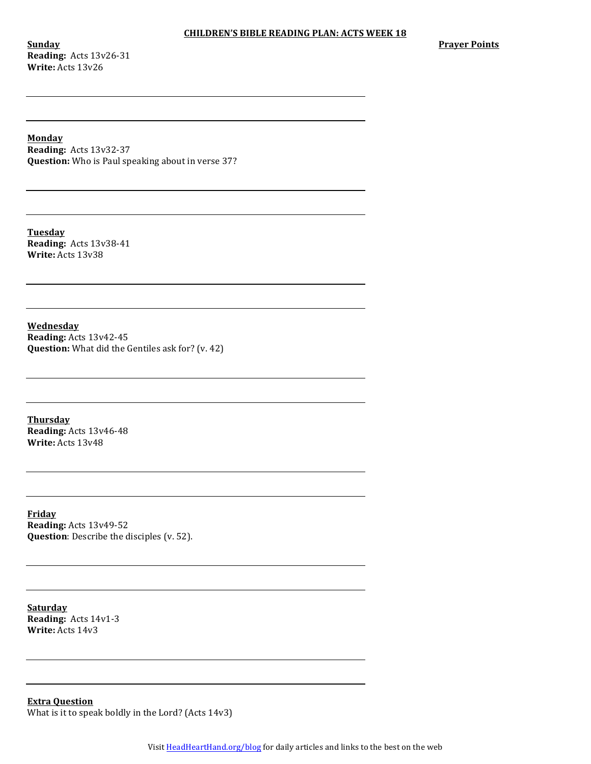**Sunday Reading:** Acts 13v26-31 **Write:** Acts 13v26

**Prayer Points** 

**Monday**

**Reading:** Acts 13v32-37 **Question:** Who is Paul speaking about in verse 37?

**Tuesday Reading:** Acts 13v38-41 **Write:** Acts 13v38

**Wednesday Reading:** Acts 13v42-45 **Question:** What did the Gentiles ask for? (v. 42)

**Thursday Reading:** Acts 13v46-48 **Write:** Acts 13v48

**Friday Reading:** Acts 13v49-52 **Question**: Describe the disciples (v. 52).

**Saturday Reading:** Acts 14v1-3 **Write:** Acts 14v3

**Extra Question** What is it to speak boldly in the Lord? (Acts  $14v3$ )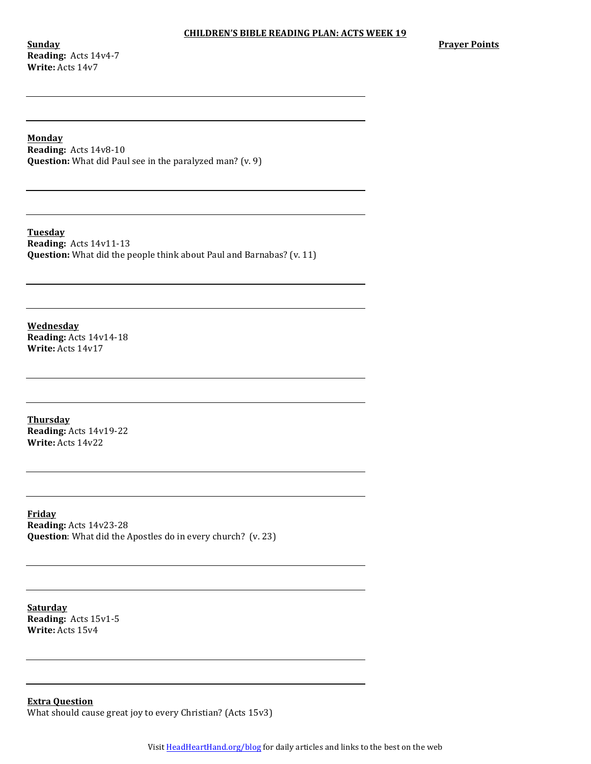**Sunday Reading:** Acts 14v4-7 **Write:** Acts 14v7

## **Monday**

**Reading:** Acts 14v8-10 **Question:** What did Paul see in the paralyzed man? (v. 9)

**Tuesday Reading:** Acts 14v11-13 **Question:** What did the people think about Paul and Barnabas? (v. 11)

**Wednesday Reading:** Acts 14v14-18 **Write:** Acts 14v17

**Thursday Reading:** Acts 14v19-22 **Write:** Acts 14v22

**Friday Reading:** Acts 14v23-28 **Question**: What did the Apostles do in every church? (v. 23)

**Saturday Reading:** Acts 15v1-5 **Write:** Acts 15v4

**Extra Question** What should cause great joy to every Christian?  $(Acts 15v3)$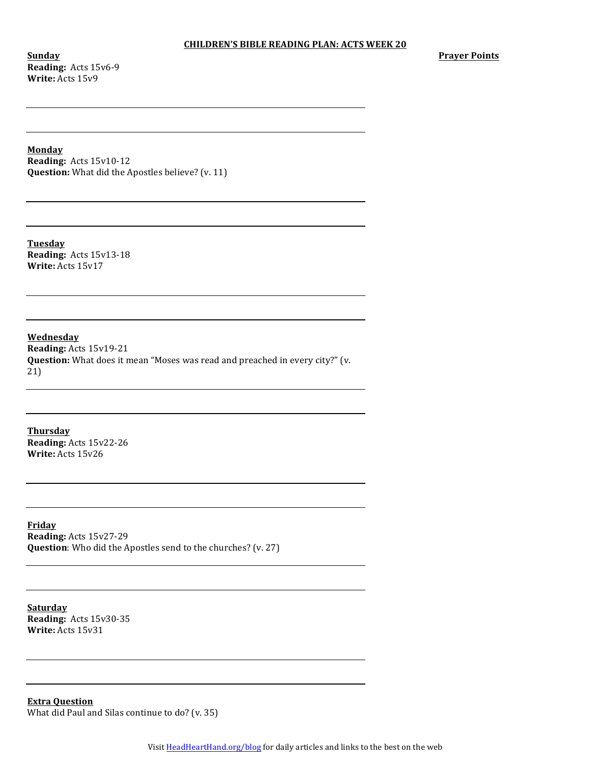**Sunday Reading:** Acts 15v6-9 **Write:** Acts 15v9

**Prayer Points** 

**Monday**

**Reading:** Acts 15v10-12 **Question:** What did the Apostles believe? (v. 11)

**Tuesday Reading:** Acts 15v13-18 **Write:** Acts 15v17

**Wednesday Reading:** Acts 15v19-21 **Question:** What does it mean "Moses was read and preached in every city?" (v. 21)

**Thursday Reading:** Acts 15v22-26 **Write:** Acts 15v26

**Friday Reading:** Acts 15v27-29 **Question**: Who did the Apostles send to the churches? (v. 27)

**Saturday Reading:** Acts 15v30-35 **Write:** Acts 15v31

**Extra Question** What did Paul and Silas continue to do?  $(v. 35)$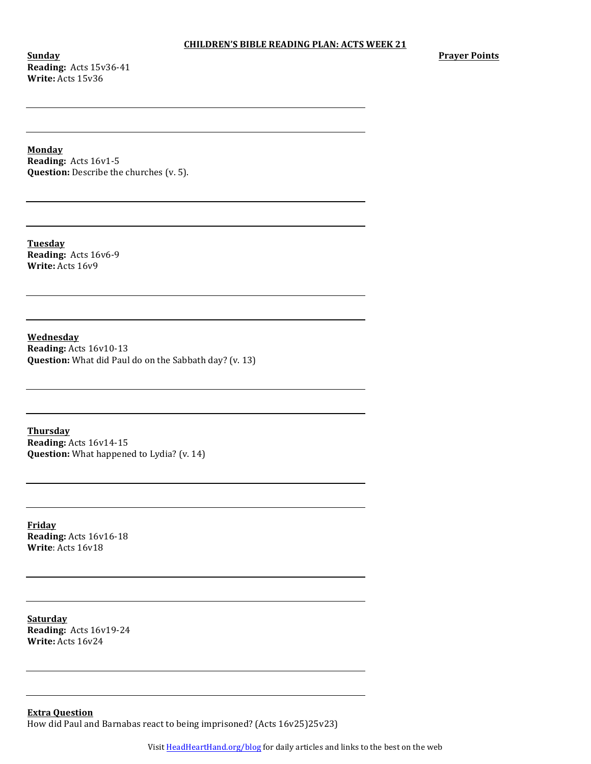**Sunday Reading:** Acts 15v36-41 **Write:** Acts 15v36

**Monday Reading:** Acts 16v1-5 **Question:** Describe the churches (v. 5).

**Tuesday Reading:** Acts 16v6-9 **Write:** Acts 16v9

**Wednesday Reading:** Acts 16v10-13 **Question:** What did Paul do on the Sabbath day? (v. 13)

**Thursday Reading:** Acts 16v14-15 **Question:** What happened to Lydia? (v. 14)

**Friday Reading:** Acts 16v16-18 **Write**: Acts 16v18

**Saturday Reading:** Acts 16v19-24 **Write:** Acts 16v24

**Extra Question** How did Paul and Barnabas react to being imprisoned? (Acts 16v25)25v23)

Visit **HeadHeartHand.org/blog** for daily articles and links to the best on the web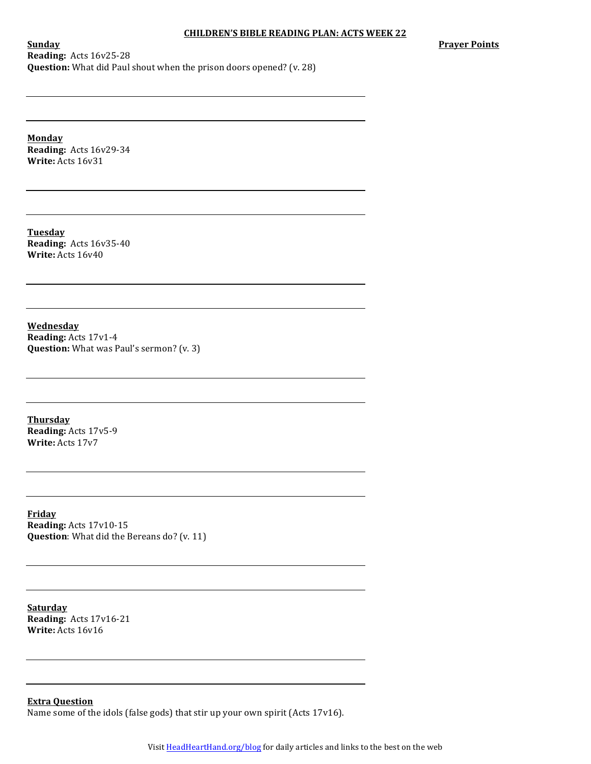**Prayer Points** 

**Sunday Reading:** Acts 16v25-28 **Question:** What did Paul shout when the prison doors opened? (v. 28)

**Monday Reading:** Acts 16v29-34 **Write:** Acts 16v31

**Tuesday Reading:** Acts 16v35-40 **Write:** Acts 16v40

**Wednesday Reading:** Acts 17v1-4 **Question:** What was Paul's sermon? (v. 3)

**Thursday Reading:** Acts 17v5-9 **Write:** Acts 17v7

**Friday Reading:** Acts 17v10-15 **Question**: What did the Bereans do? (v. 11)

**Saturday Reading:** Acts 17v16-21 **Write:** Acts 16v16

**Extra Question** Name some of the idols (false gods) that stir up your own spirit (Acts  $17v16$ ).

Visit **HeadHeartHand.org/blog** for daily articles and links to the best on the web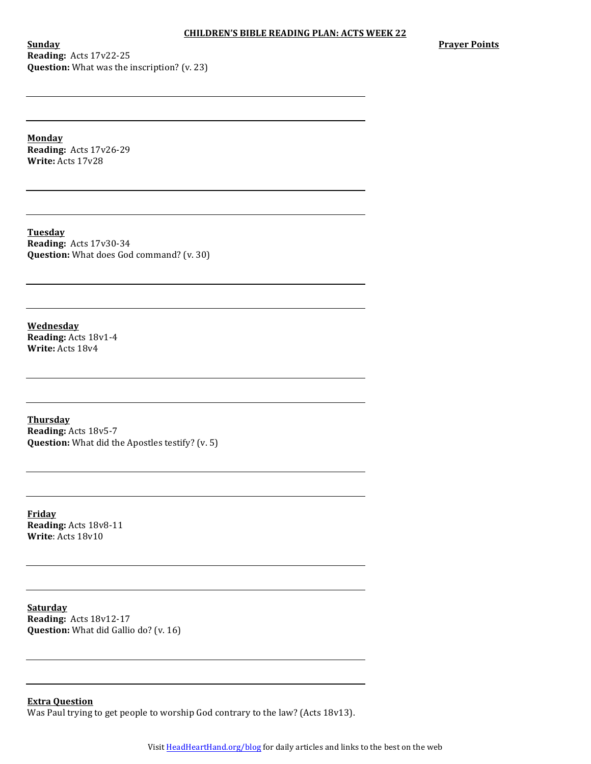**Sunday Reading:** Acts 17v22-25 **Question:** What was the inscription? (v. 23) **Prayer Points** 

**Monday Reading:** Acts 17v26-29 **Write:** Acts 17v28

**Tuesday Reading:** Acts 17v30-34 **Question:** What does God command? (v. 30)

**Wednesday Reading:** Acts 18v1-4 **Write:** Acts 18v4

**Thursday Reading:** Acts 18v5-7 **Question:** What did the Apostles testify? (v. 5)

**Friday Reading:** Acts 18v8-11 **Write**: Acts 18v10

**Saturday Reading:** Acts 18v12-17 **Question:** What did Gallio do? (v. 16)

**Extra Question**

Was Paul trying to get people to worship God contrary to the law? (Acts 18v13).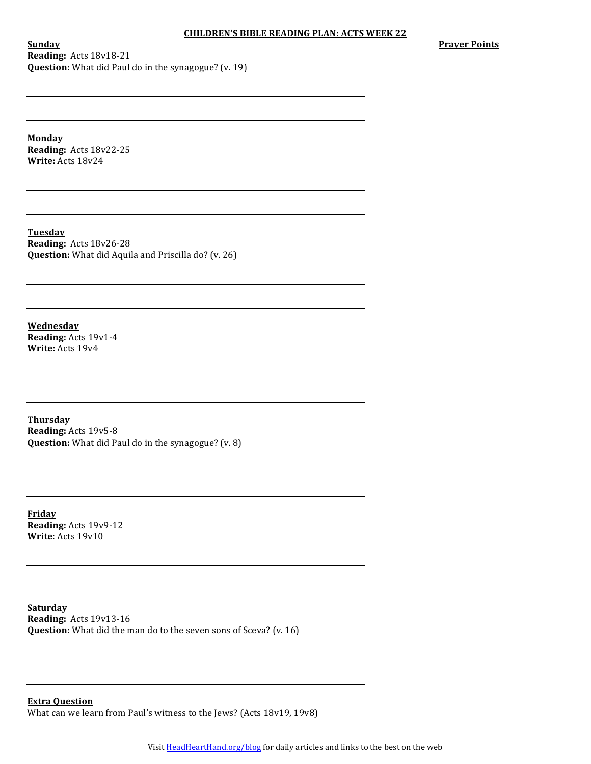**Prayer Points** 

**Sunday Reading:** Acts 18v18-21 **Question:** What did Paul do in the synagogue? (v. 19)

**Monday**

**Reading:** Acts 18v22-25 **Write:** Acts 18v24

**Tuesday Reading:** Acts 18v26-28 **Question:** What did Aquila and Priscilla do? (v. 26)

**Wednesday Reading:** Acts 19v1-4 **Write:** Acts 19v4

**Thursday Reading:** Acts 19v5-8 **Question:** What did Paul do in the synagogue? (v. 8)

**Friday Reading:** Acts 19v9-12 **Write**: Acts 19v10

**Saturday Reading:** Acts 19v13-16 **Question:** What did the man do to the seven sons of Sceva? (v. 16)

**Extra Question** What can we learn from Paul's witness to the Jews? (Acts 18v19, 19v8)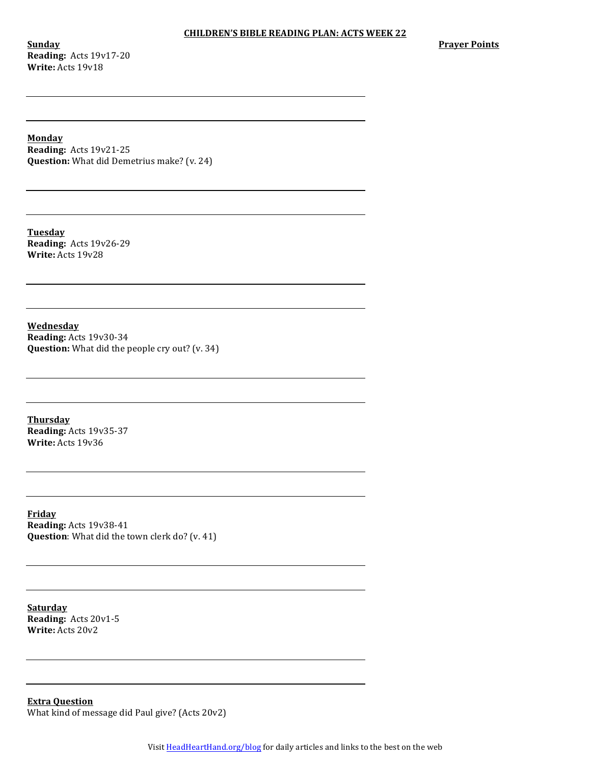**Sunday Reading:** Acts 19v17-20 **Write:** Acts 19v18

**Prayer Points** 

**Monday**

**Reading:** Acts 19v21-25 **Question:** What did Demetrius make? (v. 24)

**Tuesday Reading:** Acts 19v26-29 **Write:** Acts 19v28

**Wednesday Reading:** Acts 19v30-34 **Question:** What did the people cry out? (v. 34)

**Thursday Reading:** Acts 19v35-37 **Write:** Acts 19v36

**Friday Reading:** Acts 19v38-41 **Question**: What did the town clerk do? (v. 41)

**Saturday Reading:** Acts 20v1-5 **Write:** Acts 20v2

**Extra Question** What kind of message did Paul give? (Acts 20v2)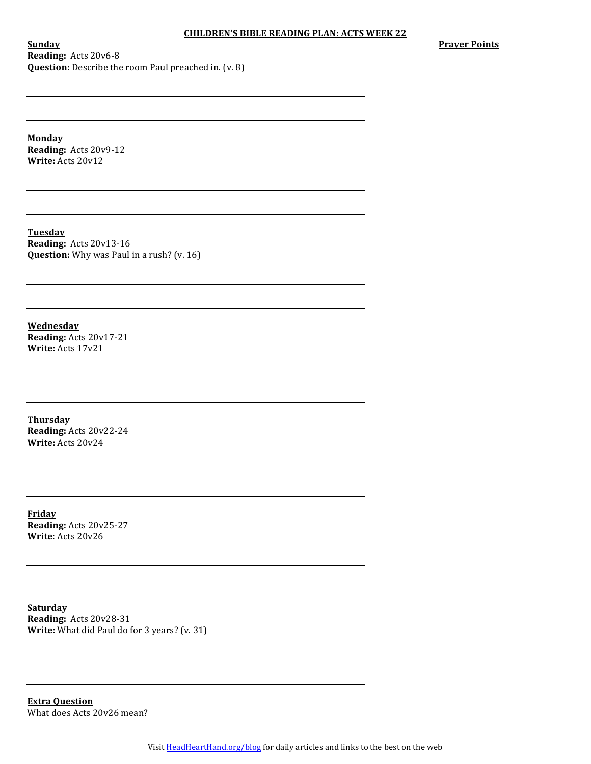**Prayer Points** 

**Sunday Reading:** Acts 20v6-8 **Question:** Describe the room Paul preached in. (v. 8)

**Monday**

**Reading:** Acts 20v9-12 **Write:** Acts 20v12

**Tuesday Reading:** Acts 20v13-16 **Question:** Why was Paul in a rush? (v. 16)

**Wednesday Reading:** Acts 20v17-21 **Write:** Acts 17v21

**Thursday Reading:** Acts 20v22-24 **Write:** Acts 20v24

**Friday Reading:** Acts 20v25-27 **Write**: Acts 20v26

**Saturday Reading:** Acts 20v28-31 **Write:** What did Paul do for 3 years? (v. 31)

**Extra Question** What does Acts 20v26 mean?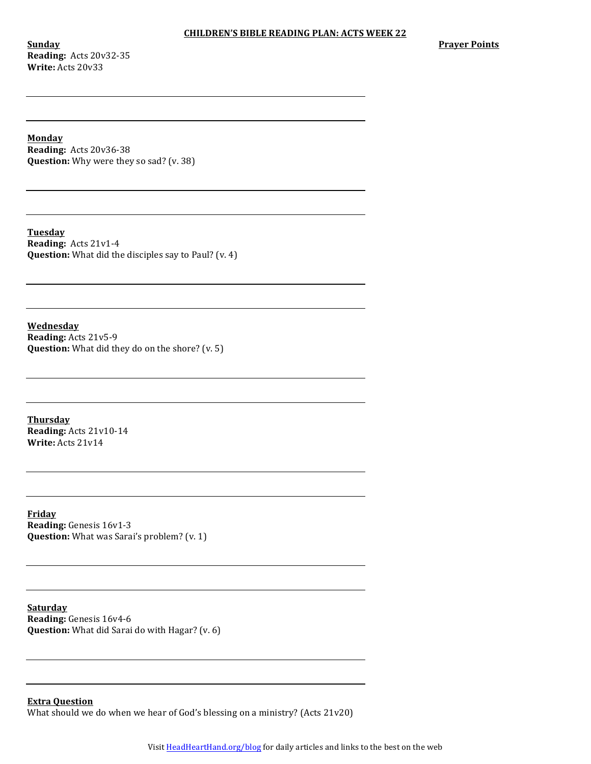**Sunday Reading:** Acts 20v32-35 **Write:** Acts 20v33

**Prayer Points** 

## **Monday**

**Reading:** Acts 20v36-38 **Question:** Why were they so sad? (v. 38)

**Tuesday Reading:** Acts 21v1-4 **Question:** What did the disciples say to Paul? (v. 4)

**Wednesday Reading:** Acts 21v5-9 **Question:** What did they do on the shore? (v. 5)

**Thursday Reading:** Acts 21v10-14 **Write:** Acts 21v14

**Friday Reading:** Genesis 16v1-3 **Question:** What was Sarai's problem? (v. 1)

**Saturday Reading:** Genesis 16v4-6 **Question:** What did Sarai do with Hagar? (v. 6)

**Extra Question** What should we do when we hear of God's blessing on a ministry? (Acts  $21v20$ )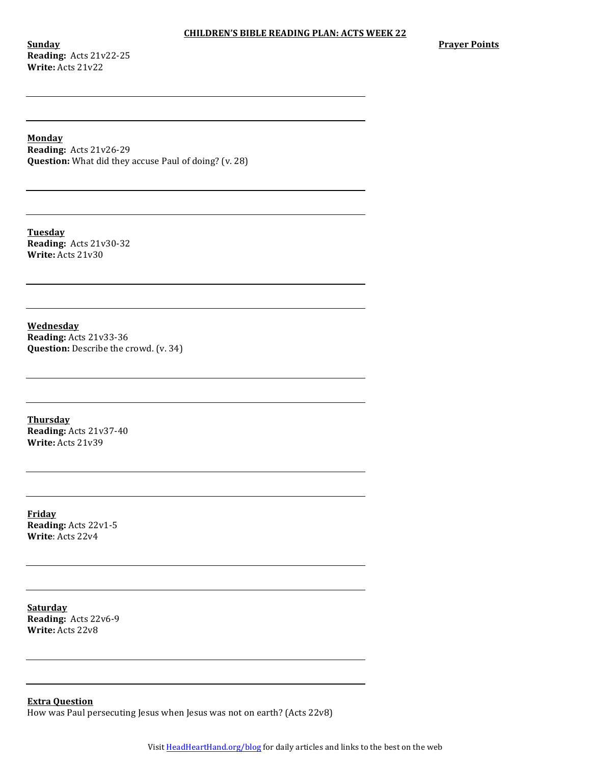**Sunday Reading:** Acts 21v22-25 **Write:** Acts 21v22

**Prayer Points** 

**Monday**

**Reading:** Acts 21v26-29 **Question:** What did they accuse Paul of doing? (v. 28)

**Tuesday Reading:** Acts 21v30-32 **Write:** Acts 21v30

**Wednesday Reading:** Acts 21v33-36 **Question:** Describe the crowd. (v. 34)

**Thursday Reading:** Acts 21v37-40 **Write:** Acts 21v39

**Friday Reading:** Acts 22v1-5 **Write**: Acts 22v4

**Saturday Reading:** Acts 22v6-9 **Write:** Acts 22v8

**Extra Question** How was Paul persecuting Jesus when Jesus was not on earth? (Acts  $22v8$ )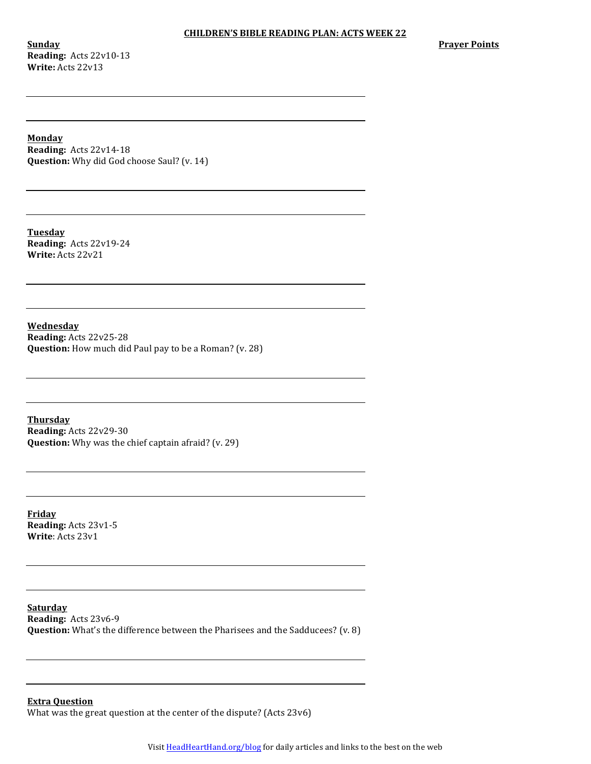**Sunday Reading:** Acts 22v10-13 **Write:** Acts 22v13

**Prayer Points** 

**Monday**

**Reading:** Acts 22v14-18 **Question:** Why did God choose Saul? (v. 14)

**Tuesday Reading:** Acts 22v19-24 **Write:** Acts 22v21

**Wednesday Reading:** Acts 22v25-28 **Question:** How much did Paul pay to be a Roman? (v. 28)

**Thursday Reading:** Acts 22v29-30 **Question:** Why was the chief captain afraid? (v. 29)

**Friday Reading:** Acts 23v1-5 **Write**: Acts 23v1

**Saturday Reading:** Acts 23v6-9 **Question:** What's the difference between the Pharisees and the Sadducees? (v. 8)

**Extra Question** What was the great question at the center of the dispute? (Acts  $23v6$ )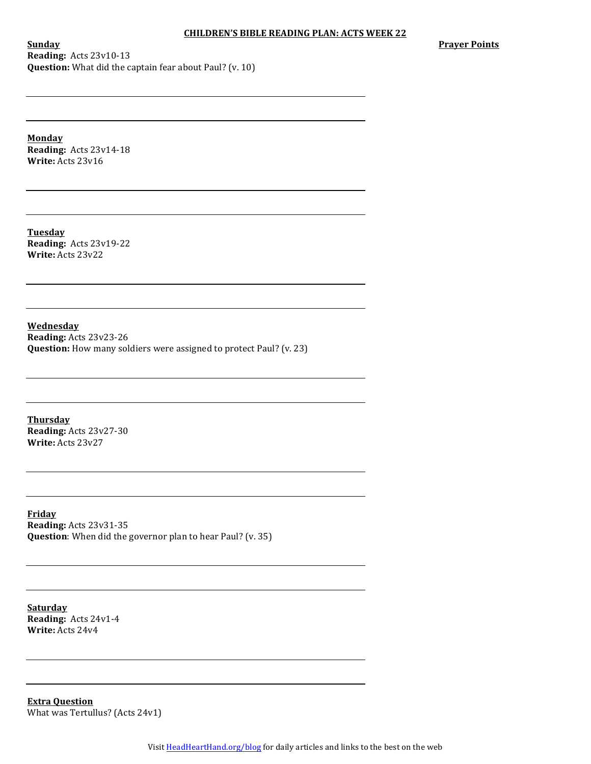**Prayer Points** 

**Sunday Reading:** Acts 23v10-13 **Question:** What did the captain fear about Paul? (v. 10)

**Monday**

**Reading:** Acts 23v14-18 **Write:** Acts 23v16

**Tuesday Reading:** Acts 23v19-22 **Write:** Acts 23v22

**Wednesday Reading:** Acts 23v23-26 **Question:** How many soldiers were assigned to protect Paul? (v. 23)

**Thursday Reading:** Acts 23v27-30 **Write:** Acts 23v27

**Friday Reading:** Acts 23v31-35 **Question**: When did the governor plan to hear Paul? (v. 35)

**Saturday Reading:** Acts 24v1-4 **Write:** Acts 24v4

**Extra Question** What was Tertullus? (Acts 24v1)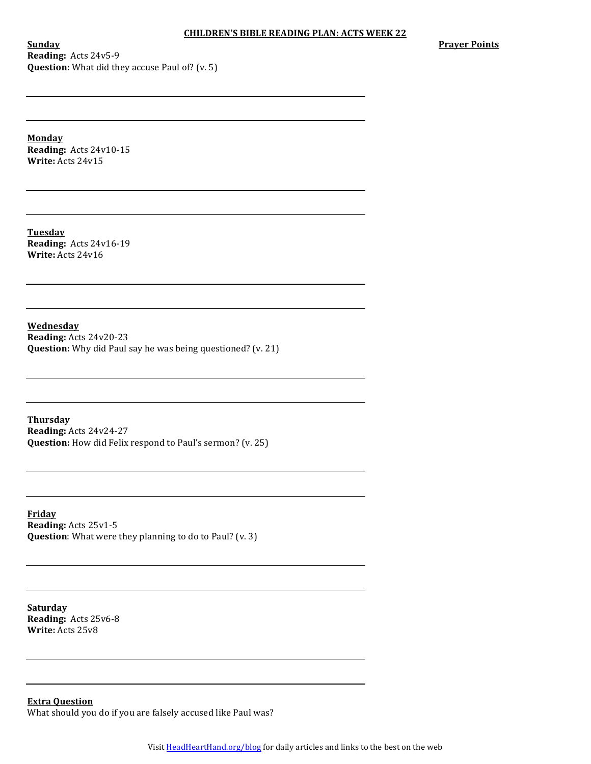**Sunday Reading:** Acts 24v5-9 **Question:** What did they accuse Paul of? (v. 5) **Prayer Points** 

**Monday Reading:** Acts 24v10-15 **Write:** Acts 24v15

**Tuesday Reading:** Acts 24v16-19 **Write:** Acts 24v16

**Wednesday Reading:** Acts 24v20-23 **Question:** Why did Paul say he was being questioned? (v. 21)

**Thursday Reading:** Acts 24v24-27 **Question:** How did Felix respond to Paul's sermon? (v. 25)

**Friday Reading:** Acts 25v1-5 **Question**: What were they planning to do to Paul? (v. 3)

**Saturday Reading:** Acts 25v6-8 **Write:** Acts 25v8

**Extra Question** What should you do if you are falsely accused like Paul was?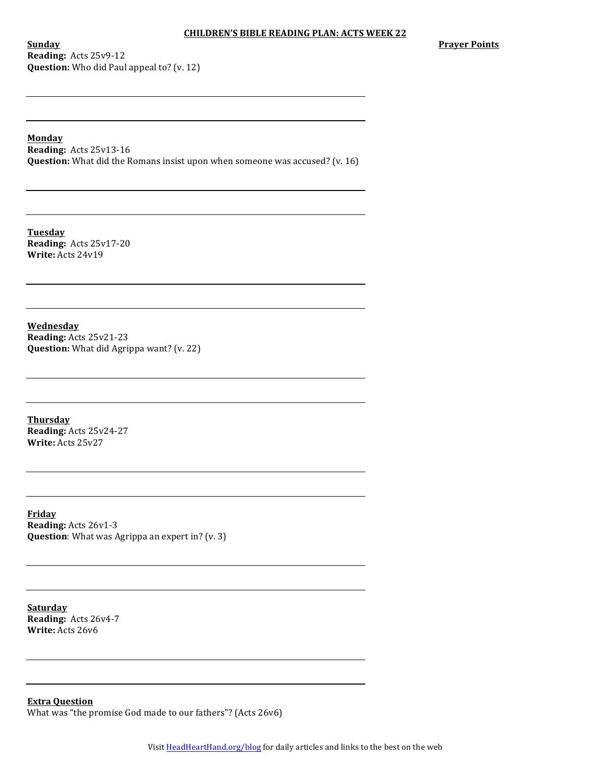**Sunday Reading:** Acts 25v9-12 **Question:** Who did Paul appeal to? (v. 12) **Prayer Points** 

# **Monday**

**Reading:** Acts 25v13-16 **Question:** What did the Romans insist upon when someone was accused? (v. 16)

**Tuesday Reading:** Acts 25v17-20 **Write:** Acts 24v19

**Wednesday Reading:** Acts 25v21-23 **Question:** What did Agrippa want? (v. 22)

**Thursday Reading:** Acts 25v24-27 **Write:** Acts 25v27

**Friday Reading:** Acts 26v1-3 **Question**: What was Agrippa an expert in? (v. 3)

**Saturday Reading:** Acts 26v4-7 **Write:** Acts 26v6

**Extra Question** What was "the promise God made to our fathers"? (Acts 26v6)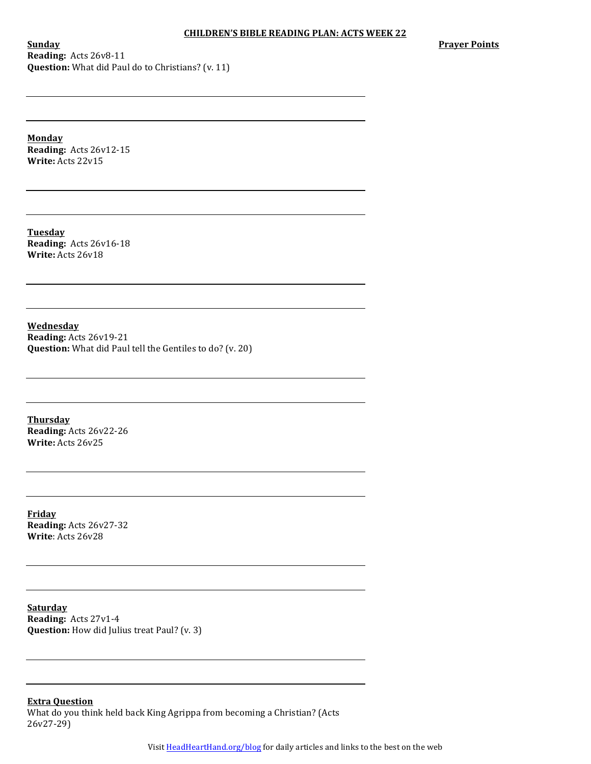**Sunday Reading:** Acts 26v8-11 **Question:** What did Paul do to Christians? (v. 11) **Prayer Points** 

**Monday Reading:** Acts 26v12-15 **Write:** Acts 22v15

**Tuesday Reading:** Acts 26v16-18 **Write:** Acts 26v18

**Wednesday Reading:** Acts 26v19-21 **Question:** What did Paul tell the Gentiles to do? (v. 20)

**Thursday Reading:** Acts 26v22-26 **Write:** Acts 26v25

**Friday Reading:** Acts 26v27-32 **Write**: Acts 26v28

**Saturday Reading:** Acts 27v1-4 **Question:** How did Julius treat Paul? (v. 3)

**Extra Question**

What do you think held back King Agrippa from becoming a Christian? (Acts 26v27-29)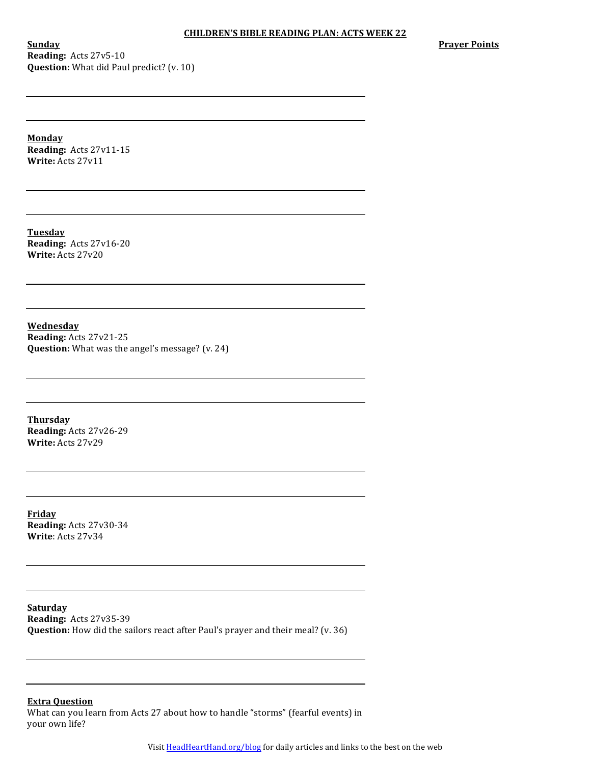## **CHILDREN'S BIBLE READING PLAN: ACTS WEEK 22**

**Sunday Reading:** Acts 27v5-10 **Question:** What did Paul predict? (v. 10) **Prayer Points** 

**Monday Reading:** Acts 27v11-15 **Write:** Acts 27v11

**Tuesday Reading:** Acts 27v16-20 **Write:** Acts 27v20

**Wednesday Reading:** Acts 27v21-25 **Question:** What was the angel's message? (v. 24)

**Thursday Reading:** Acts 27v26-29 **Write:** Acts 27v29

**Friday Reading:** Acts 27v30-34 **Write**: Acts 27v34

**Saturday Reading:** Acts 27v35-39 **Question:** How did the sailors react after Paul's prayer and their meal? (v. 36)

**Extra Question**

What can you learn from Acts 27 about how to handle "storms" (fearful events) in your own life?

Visit **HeadHeartHand.org/blog** for daily articles and links to the best on the web